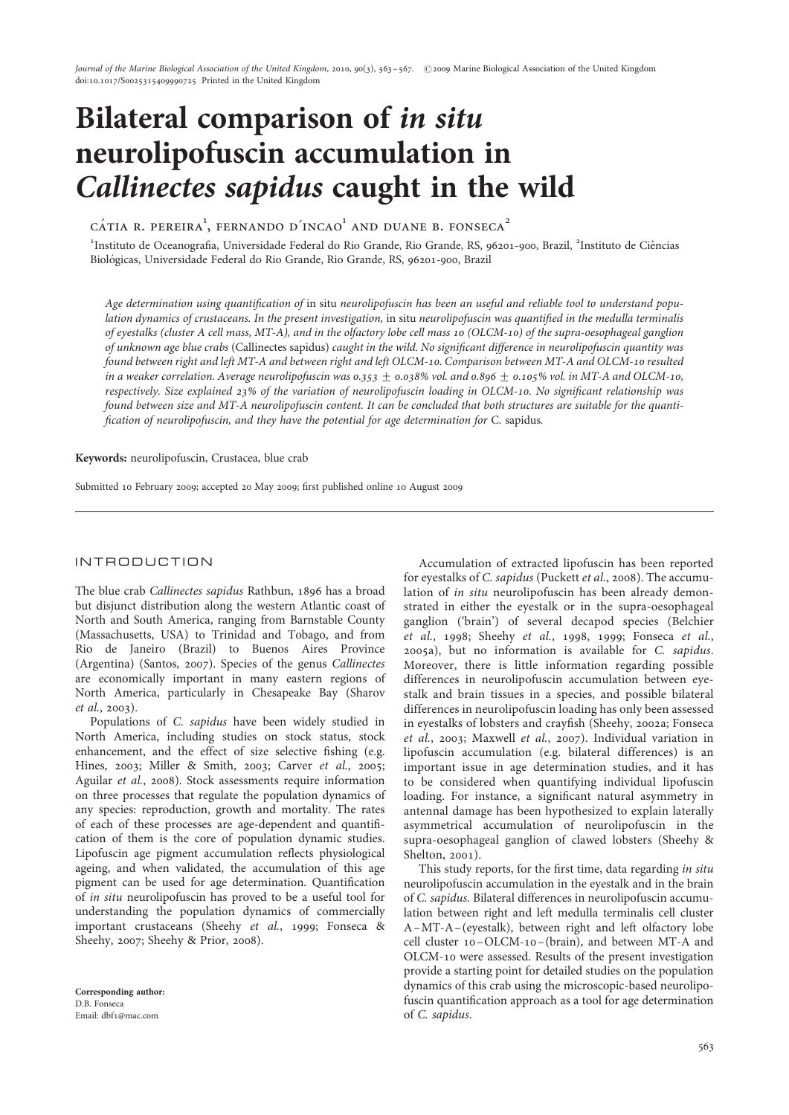Journal of the Marine Biological Association of the United Kingdom, 2010, 90(3), 563-567. © 2009 Marine Biological Association of the United Kingdom doi:10.1017/S0025315409990725 Printed in the United Kingdom

# Bilateral comparison of in situ neurolipofuscin accumulation in Callinectes sapidus caught in the wild

 $C\acute{a}$ tia r. pereira<sup>1</sup>, fernando d'incao<sup>1</sup> and duane b. fonseca<sup>2</sup>

<sup>1</sup>Instituto de Oceanografia, Universidade Federal do Rio Grande, Rio Grande, RS, 96201-900, Brazil, <sup>2</sup>Instituto de Ciências Biológicas, Universidade Federal do Rio Grande, Rio Grande, RS, 96201-900, Brazil

Age determination using quantification of in situ neurolipofuscin has been an useful and reliable tool to understand population dynamics of crustaceans. In the present investigation, in situ neurolipofuscin was quantified in the medulla terminalis of eyestalks (cluster A cell mass, MT-A), and in the olfactory lobe cell mass 10 (OLCM-10) of the supra-oesophageal ganglion of unknown age blue crabs (Callinectes sapidus) caught in the wild. No significant difference in neurolipofuscin quantity was found between right and left MT-A and between right and left OLCM-10. Comparison between MT-A and OLCM-10 resulted in a weaker correlation. Average neurolipofuscin was 0.353  $\pm$  0.038% vol. and 0.896  $\pm$  0.105% vol. in MT-A and OLCM-10, respectively. Size explained 23% of the variation of neurolipofuscin loading in OLCM-10. No significant relationship was found between size and MT-A neurolipofuscin content. It can be concluded that both structures are suitable for the quantification of neurolipofuscin, and they have the potential for age determination for C. sapidus.

Keywords: neurolipofuscin, Crustacea, blue crab

Submitted 10 February 2009; accepted 20 May 2009; first published online 10 August 2009

## INTRODUCTION

The blue crab Callinectes sapidus Rathbun, 1896 has a broad but disjunct distribution along the western Atlantic coast of North and South America, ranging from Barnstable County (Massachusetts, USA) to Trinidad and Tobago, and from Rio de Janeiro (Brazil) to Buenos Aires Province (Argentina) (Santos, 2007). Species of the genus Callinectes are economically important in many eastern regions of North America, particularly in Chesapeake Bay (Sharov et al., 2003).

Populations of C. sapidus have been widely studied in North America, including studies on stock status, stock enhancement, and the effect of size selective fishing (e.g. Hines, 2003; Miller & Smith, 2003; Carver et al., 2005; Aguilar et al., 2008). Stock assessments require information on three processes that regulate the population dynamics of any species: reproduction, growth and mortality. The rates of each of these processes are age-dependent and quantification of them is the core of population dynamic studies. Lipofuscin age pigment accumulation reflects physiological ageing, and when validated, the accumulation of this age pigment can be used for age determination. Quantification of in situ neurolipofuscin has proved to be a useful tool for understanding the population dynamics of commercially important crustaceans (Sheehy et al., 1999; Fonseca & Sheehy, 2007; Sheehy & Prior, 2008).

Corresponding author: D.B. Fonseca Email: dbf1@mac.com

Accumulation of extracted lipofuscin has been reported for eyestalks of C. sapidus (Puckett et al., 2008). The accumulation of in situ neurolipofuscin has been already demonstrated in either the eyestalk or in the supra-oesophageal ganglion ('brain') of several decapod species (Belchier et al., 1998; Sheehy et al., 1998, 1999; Fonseca et al., 2005a), but no information is available for C. sapidus. Moreover, there is little information regarding possible differences in neurolipofuscin accumulation between eyestalk and brain tissues in a species, and possible bilateral differences in neurolipofuscin loading has only been assessed in eyestalks of lobsters and crayfish (Sheehy, 2002a; Fonseca et al., 2003; Maxwell et al., 2007). Individual variation in lipofuscin accumulation (e.g. bilateral differences) is an important issue in age determination studies, and it has to be considered when quantifying individual lipofuscin loading. For instance, a significant natural asymmetry in antennal damage has been hypothesized to explain laterally asymmetrical accumulation of neurolipofuscin in the supra-oesophageal ganglion of clawed lobsters (Sheehy & Shelton, 2001).

This study reports, for the first time, data regarding in situ neurolipofuscin accumulation in the eyestalk and in the brain of C. sapidus. Bilateral differences in neurolipofuscin accumulation between right and left medulla terminalis cell cluster A–MT-A– (eyestalk), between right and left olfactory lobe cell cluster 10–OLCM-10– (brain), and between MT-A and OLCM-10 were assessed. Results of the present investigation provide a starting point for detailed studies on the population dynamics of this crab using the microscopic-based neurolipofuscin quantification approach as a tool for age determination of C. sapidus.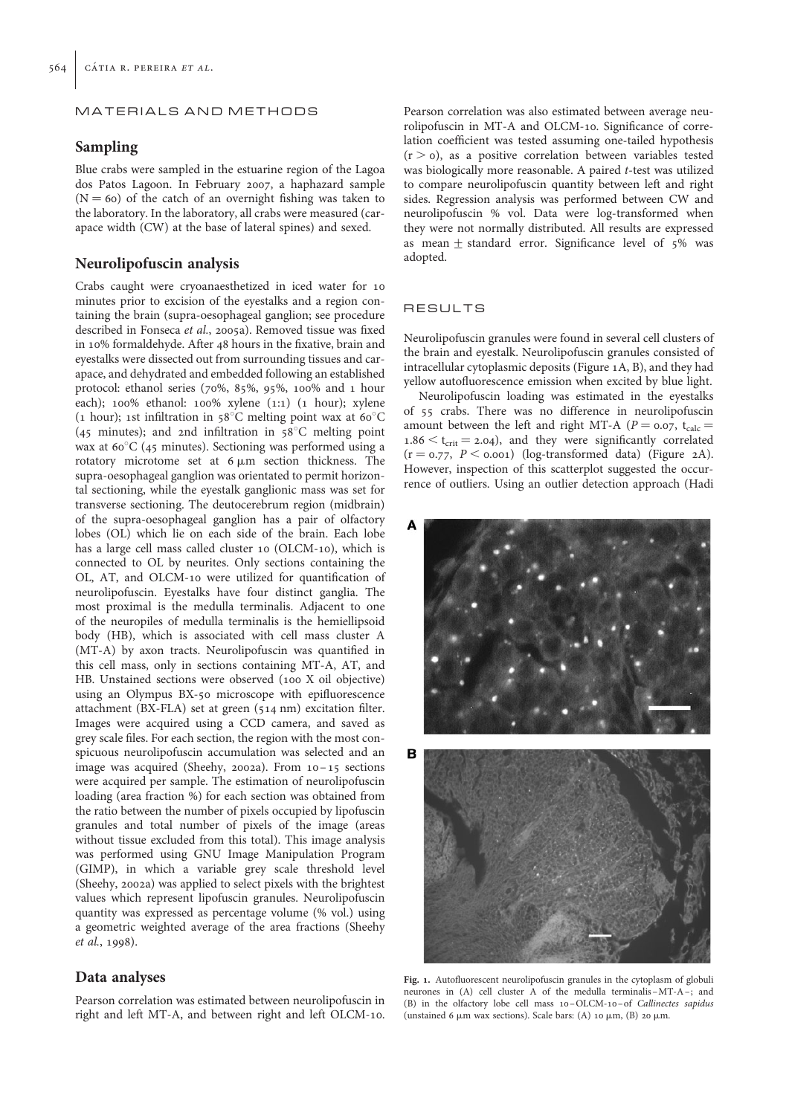## MATERIALS AND METHODS

## Sampling

Blue crabs were sampled in the estuarine region of the Lagoa dos Patos Lagoon. In February 2007, a haphazard sample  $(N = 60)$  of the catch of an overnight fishing was taken to the laboratory. In the laboratory, all crabs were measured (carapace width (CW) at the base of lateral spines) and sexed.

## Neurolipofuscin analysis

Crabs caught were cryoanaesthetized in iced water for 10 minutes prior to excision of the eyestalks and a region containing the brain (supra-oesophageal ganglion; see procedure described in Fonseca et al., 2005a). Removed tissue was fixed in 10% formaldehyde. After 48 hours in the fixative, brain and eyestalks were dissected out from surrounding tissues and carapace, and dehydrated and embedded following an established protocol: ethanol series (70%, 85%, 95%, 100% and 1 hour each); 100% ethanol: 100% xylene (1:1) (1 hour); xylene (1 hour); 1st infiltration in 58 $^{\circ}$ C melting point wax at 60 $^{\circ}$ C (45 minutes); and 2nd infiltration in  $58^{\circ}$ C melting point wax at  $60^{\circ}$ C (45 minutes). Sectioning was performed using a rotatory microtome set at  $6 \mu m$  section thickness. The supra-oesophageal ganglion was orientated to permit horizontal sectioning, while the eyestalk ganglionic mass was set for transverse sectioning. The deutocerebrum region (midbrain) of the supra-oesophageal ganglion has a pair of olfactory lobes (OL) which lie on each side of the brain. Each lobe has a large cell mass called cluster 10 (OLCM-10), which is connected to OL by neurites. Only sections containing the OL, AT, and OLCM-10 were utilized for quantification of neurolipofuscin. Eyestalks have four distinct ganglia. The most proximal is the medulla terminalis. Adjacent to one of the neuropiles of medulla terminalis is the hemiellipsoid body (HB), which is associated with cell mass cluster A (MT-A) by axon tracts. Neurolipofuscin was quantified in this cell mass, only in sections containing MT-A, AT, and HB. Unstained sections were observed (100 X oil objective) using an Olympus BX-50 microscope with epifluorescence attachment (BX-FLA) set at green (514 nm) excitation filter. Images were acquired using a CCD camera, and saved as grey scale files. For each section, the region with the most conspicuous neurolipofuscin accumulation was selected and an image was acquired (Sheehy, 2002a). From 10 –15 sections were acquired per sample. The estimation of neurolipofuscin loading (area fraction %) for each section was obtained from the ratio between the number of pixels occupied by lipofuscin granules and total number of pixels of the image (areas without tissue excluded from this total). This image analysis was performed using GNU Image Manipulation Program (GIMP), in which a variable grey scale threshold level (Sheehy, 2002a) was applied to select pixels with the brightest values which represent lipofuscin granules. Neurolipofuscin quantity was expressed as percentage volume (% vol.) using a geometric weighted average of the area fractions (Sheehy et al., 1998).

# Data analyses

Pearson correlation was estimated between neurolipofuscin in right and left MT-A, and between right and left OLCM-10.

Pearson correlation was also estimated between average neurolipofuscin in MT-A and OLCM-10. Significance of correlation coefficient was tested assuming one-tailed hypothesis  $(r > o)$ , as a positive correlation between variables tested was biologically more reasonable. A paired t-test was utilized to compare neurolipofuscin quantity between left and right sides. Regression analysis was performed between CW and neurolipofuscin % vol. Data were log-transformed when they were not normally distributed. All results are expressed as mean  $\pm$  standard error. Significance level of 5% was adopted.

## RESULTS

Neurolipofuscin granules were found in several cell clusters of the brain and eyestalk. Neurolipofuscin granules consisted of intracellular cytoplasmic deposits (Figure 1A, B), and they had yellow autofluorescence emission when excited by blue light.

Neurolipofuscin loading was estimated in the eyestalks of 55 crabs. There was no difference in neurolipofuscin amount between the left and right MT-A ( $P = 0.07$ , t<sub>calc</sub> =  $1.86 < t_{crit} = 2.04$ ), and they were significantly correlated  $(r = 0.77, P < 0.001)$  (log-transformed data) (Figure 2A). However, inspection of this scatterplot suggested the occurrence of outliers. Using an outlier detection approach (Hadi



Fig. 1. Autofluorescent neurolipofuscin granules in the cytoplasm of globuli neurones in (A) cell cluster A of the medulla terminalis –MT-A –; and (B) in the olfactory lobe cell mass 10–OLCM-10 – of Callinectes sapidus (unstained 6  $\mu$ m wax sections). Scale bars: (A) 10  $\mu$ m, (B) 20  $\mu$ m.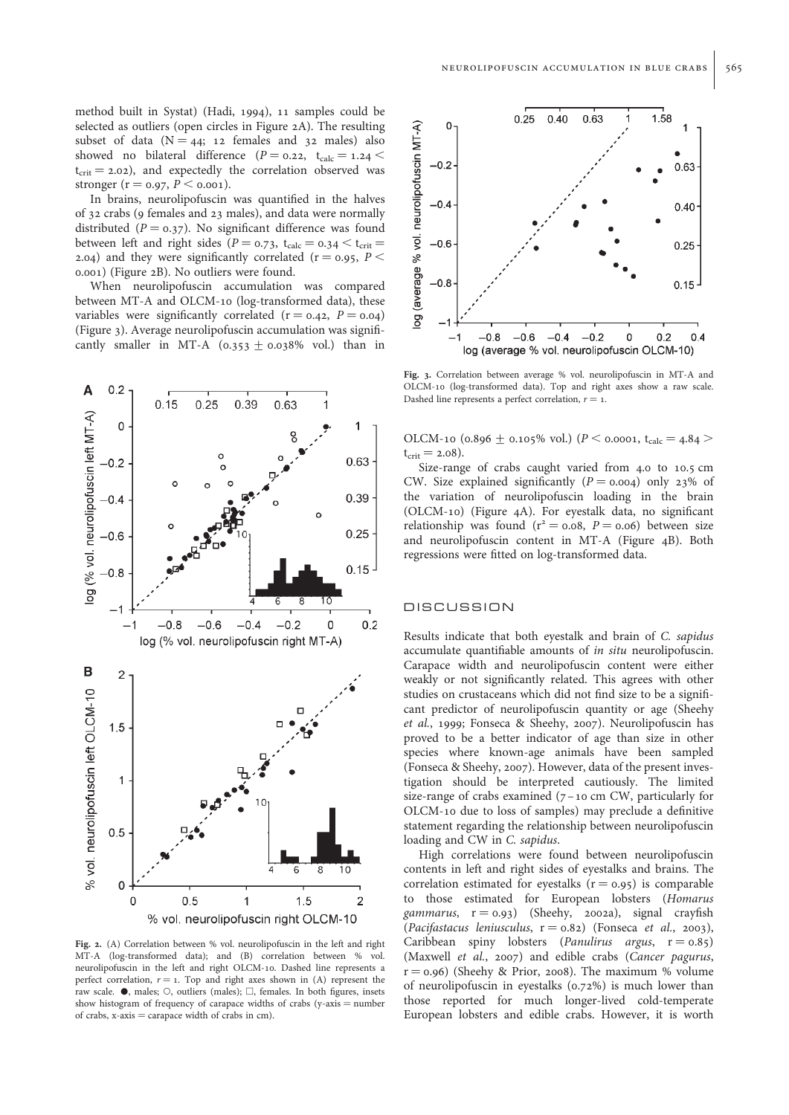method built in Systat) (Hadi, 1994), 11 samples could be selected as outliers (open circles in Figure 2A). The resulting subset of data  $(N = 44; 12$  females and 32 males) also showed no bilateral difference ( $P = 0.22$ ,  $t_{calc} = 1.24$  $t_{crit} = 2.02$ ), and expectedly the correlation observed was stronger ( $r = 0.97, P \le 0.001$ ).

In brains, neurolipofuscin was quantified in the halves of 32 crabs (9 females and 23 males), and data were normally distributed ( $P = 0.37$ ). No significant difference was found between left and right sides ( $P = 0.73$ ,  $t_{calc} = 0.34 < t_{crit}$ 2.04) and they were significantly correlated ( $r = 0.95$ ,  $P <$ 0.001) (Figure 2B). No outliers were found.

When neurolipofuscin accumulation was compared between MT-A and OLCM-10 (log-transformed data), these variables were significantly correlated  $(r = 0.42, P = 0.04)$ (Figure 3). Average neurolipofuscin accumulation was significantly smaller in MT-A  $(0.353 + 0.038\%$  vol.) than in



Fig. 2. (A) Correlation between % vol. neurolipofuscin in the left and right MT-A (log-transformed data); and (B) correlation between % vol. neurolipofuscin in the left and right OLCM-10. Dashed line represents a perfect correlation,  $r = 1$ . Top and right axes shown in (A) represent the raw scale.  $\bullet$ , males;  $\circ$ , outliers (males);  $\Box$ , females. In both figures, insets show histogram of frequency of carapace widths of crabs (y-axis  $=$  number of crabs,  $x$ -axis  $=$  carapace width of crabs in cm).



Fig. 3. Correlation between average % vol. neurolipofuscin in MT-A and OLCM-10 (log-transformed data). Top and right axes show a raw scale. Dashed line represents a perfect correlation,  $r = 1$ .

OLCM-10 (0.896  $\pm$  0.105% vol.) (P < 0.0001, t<sub>calc</sub> = 4.84 >  $t_{crit} = 2.08$ ).

Size-range of crabs caught varied from 4.0 to 10.5 cm CW. Size explained significantly  $(P = 0.004)$  only 23% of the variation of neurolipofuscin loading in the brain (OLCM-10) (Figure 4A). For eyestalk data, no significant relationship was found ( $r^2 = 0.08$ ,  $P = 0.06$ ) between size and neurolipofuscin content in MT-A (Figure 4B). Both regressions were fitted on log-transformed data.

## DISCUSSION

Results indicate that both eyestalk and brain of C. sapidus accumulate quantifiable amounts of *in situ* neurolipofuscin. Carapace width and neurolipofuscin content were either weakly or not significantly related. This agrees with other studies on crustaceans which did not find size to be a significant predictor of neurolipofuscin quantity or age (Sheehy et al., 1999; Fonseca & Sheehy, 2007). Neurolipofuscin has proved to be a better indicator of age than size in other species where known-age animals have been sampled (Fonseca & Sheehy, 2007). However, data of the present investigation should be interpreted cautiously. The limited size-range of crabs examined (7 –10 cm CW, particularly for OLCM-10 due to loss of samples) may preclude a definitive statement regarding the relationship between neurolipofuscin loading and CW in C. sapidus.

High correlations were found between neurolipofuscin contents in left and right sides of eyestalks and brains. The correlation estimated for eyestalks  $(r = 0.95)$  is comparable to those estimated for European lobsters (Homarus gammarus,  $r = 0.93$ ) (Sheehy, 2002a), signal crayfish (Pacifastacus leniusculus,  $r = 0.82$ ) (Fonseca et al., 2003), Caribbean spiny lobsters (*Panulirus argus*,  $r = 0.85$ ) (Maxwell et al., 2007) and edible crabs (Cancer pagurus,  $r = 0.96$ ) (Sheehy & Prior, 2008). The maximum % volume of neurolipofuscin in eyestalks (0.72%) is much lower than those reported for much longer-lived cold-temperate European lobsters and edible crabs. However, it is worth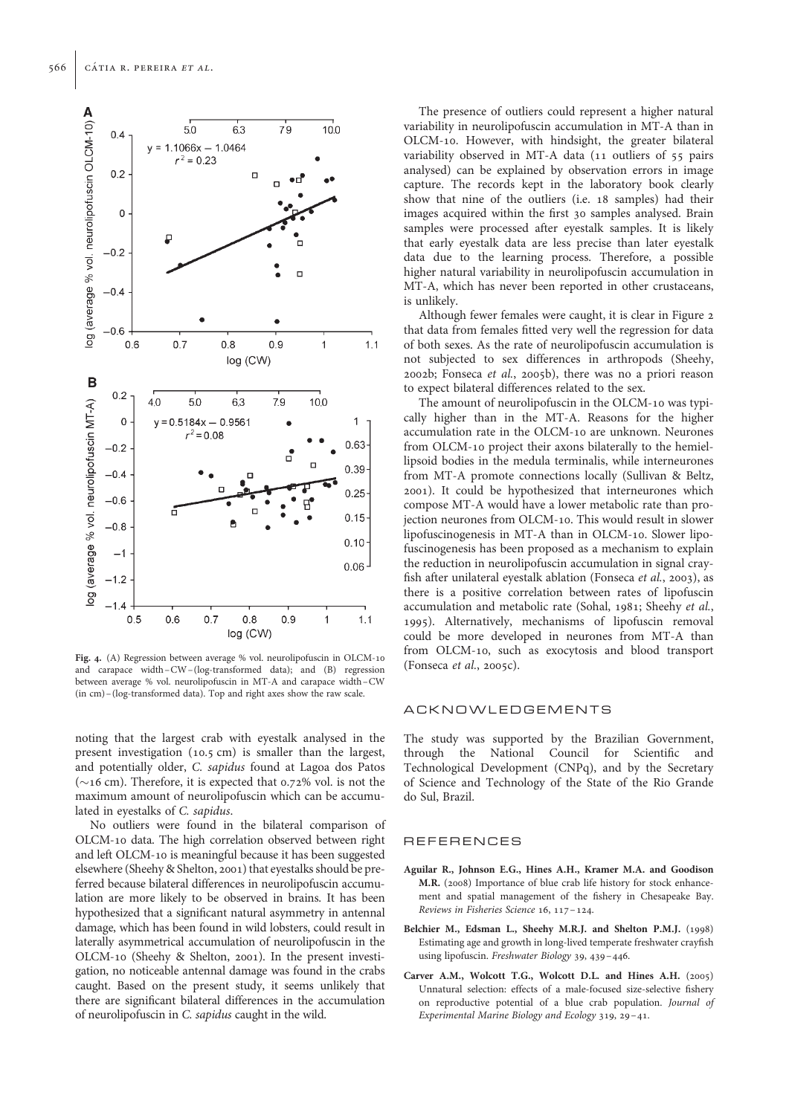

Fig. 4. (A) Regression between average % vol. neurolipofuscin in OLCM-10 and carapace width –CW– (log-transformed data); and (B) regression between average % vol. neurolipofuscin in MT-A and carapace width –CW (in cm) – (log-transformed data). Top and right axes show the raw scale.

noting that the largest crab with eyestalk analysed in the present investigation (10.5 cm) is smaller than the largest, and potentially older, C. sapidus found at Lagoa dos Patos  $(\sim$ 16 cm). Therefore, it is expected that 0.72% vol. is not the maximum amount of neurolipofuscin which can be accumulated in eyestalks of C. sapidus.

No outliers were found in the bilateral comparison of OLCM-10 data. The high correlation observed between right and left OLCM-10 is meaningful because it has been suggested elsewhere (Sheehy & Shelton, 2001) that eyestalks should be preferred because bilateral differences in neurolipofuscin accumulation are more likely to be observed in brains. It has been hypothesized that a significant natural asymmetry in antennal damage, which has been found in wild lobsters, could result in laterally asymmetrical accumulation of neurolipofuscin in the OLCM-10 (Sheehy & Shelton, 2001). In the present investigation, no noticeable antennal damage was found in the crabs caught. Based on the present study, it seems unlikely that there are significant bilateral differences in the accumulation of neurolipofuscin in C. sapidus caught in the wild.

The presence of outliers could represent a higher natural variability in neurolipofuscin accumulation in MT-A than in OLCM-10. However, with hindsight, the greater bilateral variability observed in MT-A data (11 outliers of 55 pairs analysed) can be explained by observation errors in image capture. The records kept in the laboratory book clearly show that nine of the outliers (i.e. 18 samples) had their images acquired within the first 30 samples analysed. Brain samples were processed after eyestalk samples. It is likely that early eyestalk data are less precise than later eyestalk data due to the learning process. Therefore, a possible higher natural variability in neurolipofuscin accumulation in MT-A, which has never been reported in other crustaceans, is unlikely.

Although fewer females were caught, it is clear in Figure 2 that data from females fitted very well the regression for data of both sexes. As the rate of neurolipofuscin accumulation is not subjected to sex differences in arthropods (Sheehy, 2002b; Fonseca et al., 2005b), there was no a priori reason to expect bilateral differences related to the sex.

The amount of neurolipofuscin in the OLCM-10 was typically higher than in the MT-A. Reasons for the higher accumulation rate in the OLCM-10 are unknown. Neurones from OLCM-10 project their axons bilaterally to the hemiellipsoid bodies in the medula terminalis, while interneurones from MT-A promote connections locally (Sullivan & Beltz, 2001). It could be hypothesized that interneurones which compose MT-A would have a lower metabolic rate than projection neurones from OLCM-10. This would result in slower lipofuscinogenesis in MT-A than in OLCM-10. Slower lipofuscinogenesis has been proposed as a mechanism to explain the reduction in neurolipofuscin accumulation in signal crayfish after unilateral eyestalk ablation (Fonseca et al., 2003), as there is a positive correlation between rates of lipofuscin accumulation and metabolic rate (Sohal, 1981; Sheehy et al., 1995). Alternatively, mechanisms of lipofuscin removal could be more developed in neurones from MT-A than from OLCM-10, such as exocytosis and blood transport (Fonseca et al., 2005c).

## ACKNOWLEDGEMENTS

The study was supported by the Brazilian Government, through the National Council for Scientific and Technological Development (CNPq), and by the Secretary of Science and Technology of the State of the Rio Grande do Sul, Brazil.

#### REFERENCES

- Aguilar R., Johnson E.G., Hines A.H., Kramer M.A. and Goodison M.R. (2008) Importance of blue crab life history for stock enhancement and spatial management of the fishery in Chesapeake Bay. Reviews in Fisheries Science 16, 117–124.
- Belchier M., Edsman L., Sheehy M.R.J. and Shelton P.M.J. (1998) Estimating age and growth in long-lived temperate freshwater crayfish using lipofuscin. Freshwater Biology 39, 439–446.
- Carver A.M., Wolcott T.G., Wolcott D.L. and Hines A.H. (2005) Unnatural selection: effects of a male-focused size-selective fishery on reproductive potential of a blue crab population. Journal of Experimental Marine Biology and Ecology 319, 29–41.